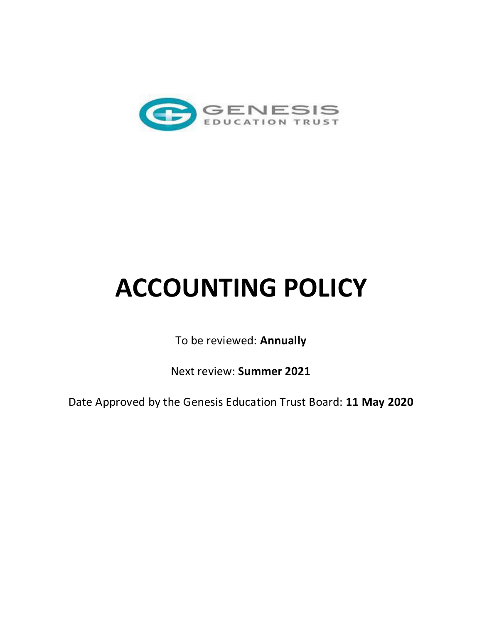

# **ACCOUNTING POLICY**

To be reviewed: **Annually** 

Next review: **Summer 2021** 

Date Approved by the Genesis Education Trust Board: **11 May 2020**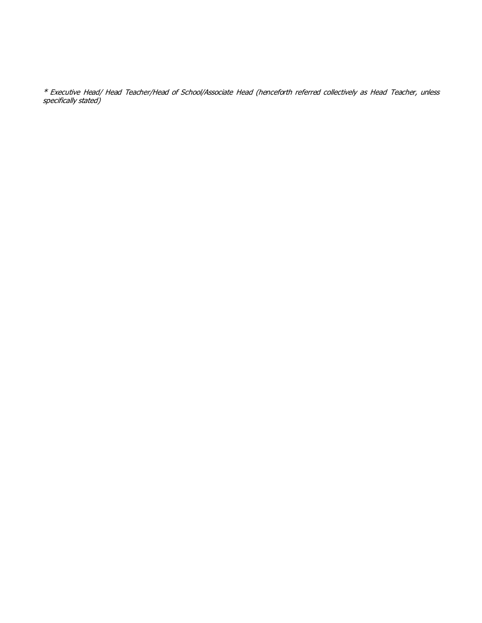\* Executive Head/ Head Teacher/Head of School/Associate Head (henceforth referred collectively as Head Teacher, unless specifically stated)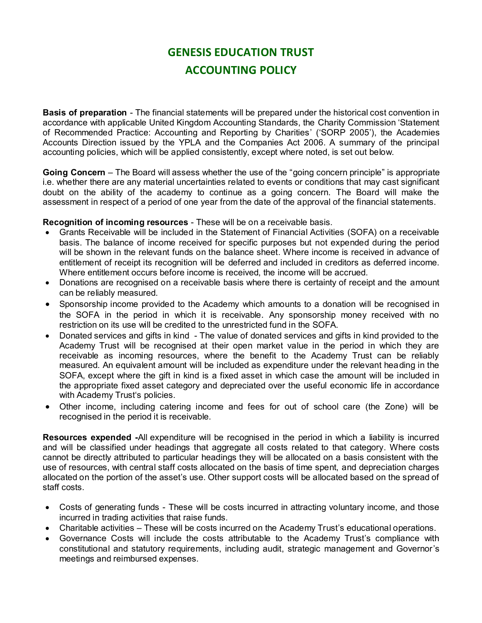## **GENESIS EDUCATION TRUST ACCOUNTING POLICY**

**Basis of preparation** - The financial statements will be prepared under the historical cost convention in accordance with applicable United Kingdom Accounting Standards, the Charity Commission 'Statement of Recommended Practice: Accounting and Reporting by Charities' ('SORP 2005'), the Academies Accounts Direction issued by the YPLA and the Companies Act 2006. A summary of the principal accounting policies, which will be applied consistently, except where noted, is set out below.

**Going Concern** – The Board will assess whether the use of the "going concern principle" is appropriate i.e. whether there are any material uncertainties related to events or conditions that may cast significant doubt on the ability of the academy to continue as a going concern. The Board will make the assessment in respect of a period of one year from the date of the approval of the financial statements.

#### **Recognition of incoming resources** - These will be on a receivable basis.

- Grants Receivable will be included in the Statement of Financial Activities (SOFA) on a receivable basis. The balance of income received for specific purposes but not expended during the period will be shown in the relevant funds on the balance sheet. Where income is received in advance of entitlement of receipt its recognition will be deferred and included in creditors as deferred income. Where entitlement occurs before income is received, the income will be accrued.
- Donations are recognised on a receivable basis where there is certainty of receipt and the amount can be reliably measured.
- Sponsorship income provided to the Academy which amounts to a donation will be recognised in the SOFA in the period in which it is receivable. Any sponsorship money received with no restriction on its use will be credited to the unrestricted fund in the SOFA.
- Donated services and gifts in kind The value of donated services and gifts in kind provided to the Academy Trust will be recognised at their open market value in the period in which they are receivable as incoming resources, where the benefit to the Academy Trust can be reliably measured. An equivalent amount will be included as expenditure under the relevant heading in the SOFA, except where the gift in kind is a fixed asset in which case the amount will be included in the appropriate fixed asset category and depreciated over the useful economic life in accordance with Academy Trust's policies.
- Other income, including catering income and fees for out of school care (the Zone) will be recognised in the period it is receivable.

**Resources expended -**All expenditure will be recognised in the period in which a liability is incurred and will be classified under headings that aggregate all costs related to that category. Where costs cannot be directly attributed to particular headings they will be allocated on a basis consistent with the use of resources, with central staff costs allocated on the basis of time spent, and depreciation charges allocated on the portion of the asset's use. Other support costs will be allocated based on the spread of staff costs.

- Costs of generating funds These will be costs incurred in attracting voluntary income, and those incurred in trading activities that raise funds.
- Charitable activities These will be costs incurred on the Academy Trust's educational operations.
- Governance Costs will include the costs attributable to the Academy Trust's compliance with constitutional and statutory requirements, including audit, strategic management and Governor's meetings and reimbursed expenses.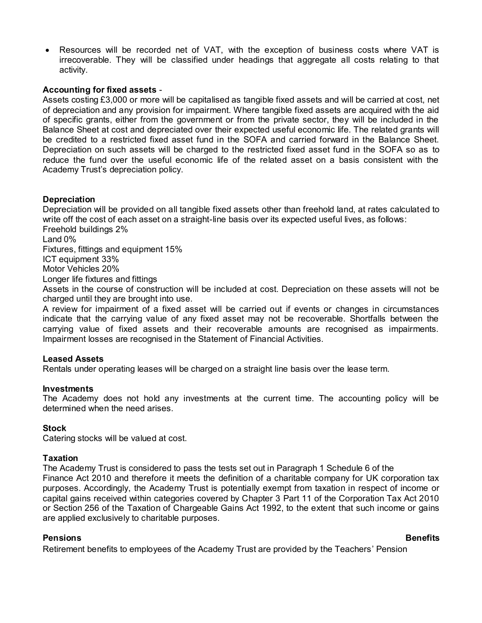Resources will be recorded net of VAT, with the exception of business costs where VAT is irrecoverable. They will be classified under headings that aggregate all costs relating to that activity.

#### **Accounting for fixed assets** -

Assets costing £3,000 or more will be capitalised as tangible fixed assets and will be carried at cost, net of depreciation and any provision for impairment. Where tangible fixed assets are acquired with the aid of specific grants, either from the government or from the private sector, they will be included in the Balance Sheet at cost and depreciated over their expected useful economic life. The related grants will be credited to a restricted fixed asset fund in the SOFA and carried forward in the Balance Sheet. Depreciation on such assets will be charged to the restricted fixed asset fund in the SOFA so as to reduce the fund over the useful economic life of the related asset on a basis consistent with the Academy Trust's depreciation policy.

#### **Depreciation**

Depreciation will be provided on all tangible fixed assets other than freehold land, at rates calculated to write off the cost of each asset on a straight-line basis over its expected useful lives, as follows: Freehold buildings 2%

Land 0%

Fixtures, fittings and equipment 15%

ICT equipment 33%

Motor Vehicles 20%

Longer life fixtures and fittings

Assets in the course of construction will be included at cost. Depreciation on these assets will not be charged until they are brought into use.

A review for impairment of a fixed asset will be carried out if events or changes in circumstances indicate that the carrying value of any fixed asset may not be recoverable. Shortfalls between the carrying value of fixed assets and their recoverable amounts are recognised as impairments. Impairment losses are recognised in the Statement of Financial Activities.

#### **Leased Assets**

Rentals under operating leases will be charged on a straight line basis over the lease term.

#### **Investments**

The Academy does not hold any investments at the current time. The accounting policy will be determined when the need arises.

#### **Stock**

Catering stocks will be valued at cost.

#### **Taxation**

The Academy Trust is considered to pass the tests set out in Paragraph 1 Schedule 6 of the Finance Act 2010 and therefore it meets the definition of a charitable company for UK corporation tax purposes. Accordingly, the Academy Trust is potentially exempt from taxation in respect of income or capital gains received within categories covered by Chapter 3 Part 11 of the Corporation Tax Act 2010 or Section 256 of the Taxation of Chargeable Gains Act 1992, to the extent that such income or gains are applied exclusively to charitable purposes.

### **Pensions** Benefits

Retirement benefits to employees of the Academy Trust are provided by the Teachers' Pension